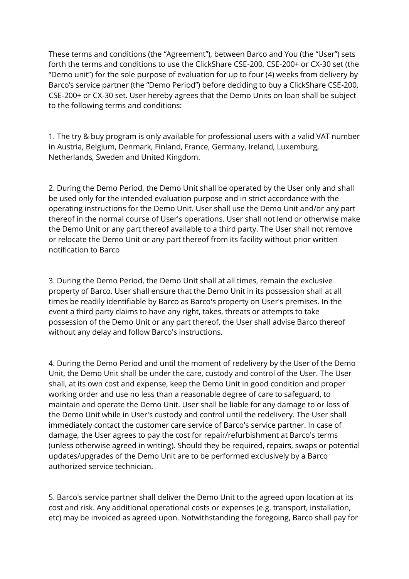These terms and conditions (the "Agreement"), between Barco and You (the "User") sets forth the terms and conditions to use the ClickShare CSE-200, CSE-200+ or CX-30 set (the "Demo unit") for the sole purpose of evaluation for up to four (4) weeks from delivery by Barco's service partner (the "Demo Period") before deciding to buy a ClickShare CSE-200, CSE-200+ or CX-30 set. User hereby agrees that the Demo Units on loan shall be subject to the following terms and conditions:

1. The try & buy program is only available for professional users with a valid VAT number in Austria, Belgium, Denmark, Finland, France, Germany, Ireland, Luxemburg, Netherlands, Sweden and United Kingdom.

2. During the Demo Period, the Demo Unit shall be operated by the User only and shall be used only for the intended evaluation purpose and in strict accordance with the operating instructions for the Demo Unit. User shall use the Demo Unit and/or any part thereof in the normal course of User's operations. User shall not lend or otherwise make the Demo Unit or any part thereof available to a third party. The User shall not remove or relocate the Demo Unit or any part thereof from its facility without prior written notification to Barco

3. During the Demo Period, the Demo Unit shall at all times, remain the exclusive property of Barco. User shall ensure that the Demo Unit in its possession shall at all times be readily identifiable by Barco as Barco's property on User's premises. In the event a third party claims to have any right, takes, threats or attempts to take possession of the Demo Unit or any part thereof, the User shall advise Barco thereof without any delay and follow Barco's instructions.

4. During the Demo Period and until the moment of redelivery by the User of the Demo Unit, the Demo Unit shall be under the care, custody and control of the User. The User shall, at its own cost and expense, keep the Demo Unit in good condition and proper working order and use no less than a reasonable degree of care to safeguard, to maintain and operate the Demo Unit. User shall be liable for any damage to or loss of the Demo Unit while in User's custody and control until the redelivery. The User shall immediately contact the customer care service of Barco's service partner. In case of damage, the User agrees to pay the cost for repair/refurbishment at Barco's terms (unless otherwise agreed in writing). Should they be required, repairs, swaps or potential updates/upgrades of the Demo Unit are to be performed exclusively by a Barco authorized service technician.

5. Barco's service partner shall deliver the Demo Unit to the agreed upon location at its cost and risk. Any additional operational costs or expenses (e.g. transport, installation, etc) may be invoiced as agreed upon. Notwithstanding the foregoing, Barco shall pay for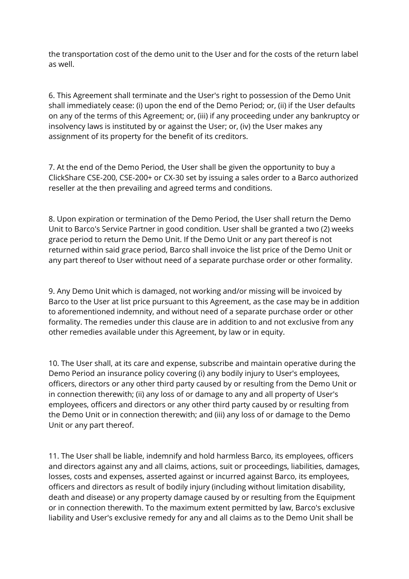the transportation cost of the demo unit to the User and for the costs of the return label as well.

6. This Agreement shall terminate and the User's right to possession of the Demo Unit shall immediately cease: (i) upon the end of the Demo Period; or, (ii) if the User defaults on any of the terms of this Agreement; or, (iii) if any proceeding under any bankruptcy or insolvency laws is instituted by or against the User; or, (iv) the User makes any assignment of its property for the benefit of its creditors.

7. At the end of the Demo Period, the User shall be given the opportunity to buy a ClickShare CSE-200, CSE-200+ or CX-30 set by issuing a sales order to a Barco authorized reseller at the then prevailing and agreed terms and conditions.

8. Upon expiration or termination of the Demo Period, the User shall return the Demo Unit to Barco's Service Partner in good condition. User shall be granted a two (2) weeks grace period to return the Demo Unit. If the Demo Unit or any part thereof is not returned within said grace period, Barco shall invoice the list price of the Demo Unit or any part thereof to User without need of a separate purchase order or other formality.

9. Any Demo Unit which is damaged, not working and/or missing will be invoiced by Barco to the User at list price pursuant to this Agreement, as the case may be in addition to aforementioned indemnity, and without need of a separate purchase order or other formality. The remedies under this clause are in addition to and not exclusive from any other remedies available under this Agreement, by law or in equity.

10. The User shall, at its care and expense, subscribe and maintain operative during the Demo Period an insurance policy covering (i) any bodily injury to User's employees, officers, directors or any other third party caused by or resulting from the Demo Unit or in connection therewith; (ii) any loss of or damage to any and all property of User's employees, officers and directors or any other third party caused by or resulting from the Demo Unit or in connection therewith; and (iii) any loss of or damage to the Demo Unit or any part thereof.

11. The User shall be liable, indemnify and hold harmless Barco, its employees, officers and directors against any and all claims, actions, suit or proceedings, liabilities, damages, losses, costs and expenses, asserted against or incurred against Barco, its employees, officers and directors as result of bodily injury (including without limitation disability, death and disease) or any property damage caused by or resulting from the Equipment or in connection therewith. To the maximum extent permitted by law, Barco's exclusive liability and User's exclusive remedy for any and all claims as to the Demo Unit shall be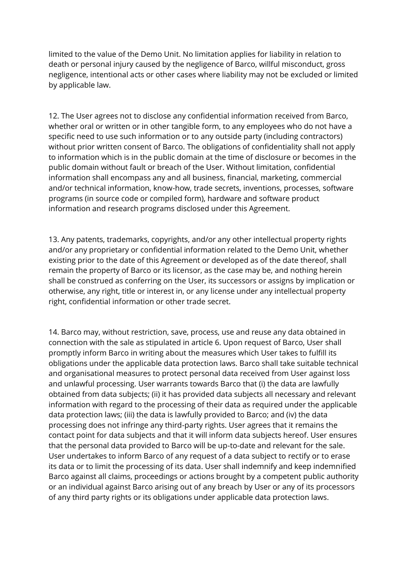limited to the value of the Demo Unit. No limitation applies for liability in relation to death or personal injury caused by the negligence of Barco, willful misconduct, gross negligence, intentional acts or other cases where liability may not be excluded or limited by applicable law.

12. The User agrees not to disclose any confidential information received from Barco, whether oral or written or in other tangible form, to any employees who do not have a specific need to use such information or to any outside party (including contractors) without prior written consent of Barco. The obligations of confidentiality shall not apply to information which is in the public domain at the time of disclosure or becomes in the public domain without fault or breach of the User. Without limitation, confidential information shall encompass any and all business, financial, marketing, commercial and/or technical information, know-how, trade secrets, inventions, processes, software programs (in source code or compiled form), hardware and software product information and research programs disclosed under this Agreement.

13. Any patents, trademarks, copyrights, and/or any other intellectual property rights and/or any proprietary or confidential information related to the Demo Unit, whether existing prior to the date of this Agreement or developed as of the date thereof, shall remain the property of Barco or its licensor, as the case may be, and nothing herein shall be construed as conferring on the User, its successors or assigns by implication or otherwise, any right, title or interest in, or any license under any intellectual property right, confidential information or other trade secret.

14. Barco may, without restriction, save, process, use and reuse any data obtained in connection with the sale as stipulated in article 6. Upon request of Barco, User shall promptly inform Barco in writing about the measures which User takes to fulfill its obligations under the applicable data protection laws. Barco shall take suitable technical and organisational measures to protect personal data received from User against loss and unlawful processing. User warrants towards Barco that (i) the data are lawfully obtained from data subjects; (ii) it has provided data subjects all necessary and relevant information with regard to the processing of their data as required under the applicable data protection laws; (iii) the data is lawfully provided to Barco; and (iv) the data processing does not infringe any third-party rights. User agrees that it remains the contact point for data subjects and that it will inform data subjects hereof. User ensures that the personal data provided to Barco will be up-to-date and relevant for the sale. User undertakes to inform Barco of any request of a data subject to rectify or to erase its data or to limit the processing of its data. User shall indemnify and keep indemnified Barco against all claims, proceedings or actions brought by a competent public authority or an individual against Barco arising out of any breach by User or any of its processors of any third party rights or its obligations under applicable data protection laws.